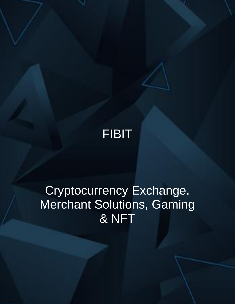

# Cryptocurrency Exchange, **Merchant Solutions, Gaming** & NFT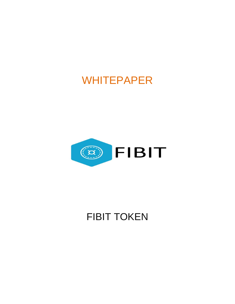# WHITEPAPER



# FIBIT TOKEN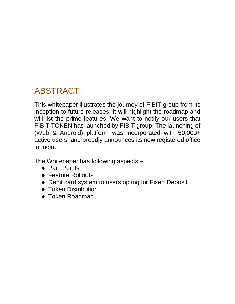# ABSTRACT

This whitepaper illustrates the journey of FIBIT group from its inception to future releases. It will highlight the roadmap and will list the prime features. We want to notify our users that FIBIT TOKEN has launched by FIBIT group. The launching of (Web & Android) platform was incorporated with 50,000+ active users, and proudly announces its new registered office in India.

The Whitepaper has following aspects –

- Pain Points
- Feature Rollouts
- Debit card system to users opting for Fixed Deposit
- Token Distribution
- Token Roadmap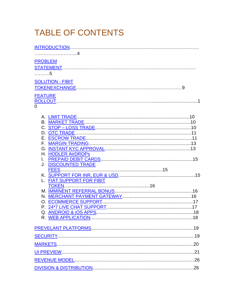# TABLE OF CONTENTS

| <b>PROBLEM</b><br>. 5<br><b>SOLUTION - FIBIT</b><br><b>FEATURE</b><br>$\Omega$<br>H. HODLER AirDROPs |
|------------------------------------------------------------------------------------------------------|
|                                                                                                      |
|                                                                                                      |
|                                                                                                      |
|                                                                                                      |
|                                                                                                      |
|                                                                                                      |
|                                                                                                      |
|                                                                                                      |
|                                                                                                      |
|                                                                                                      |
|                                                                                                      |
|                                                                                                      |
|                                                                                                      |
|                                                                                                      |
|                                                                                                      |
|                                                                                                      |
|                                                                                                      |
|                                                                                                      |
| J. DISCOUNTED TRADE                                                                                  |
| <u>PISCOUNTED TIMPE</u>                                                                              |
|                                                                                                      |
| L. FIAT SUPPORT FOR FIBIT                                                                            |
|                                                                                                      |
|                                                                                                      |
|                                                                                                      |
|                                                                                                      |
|                                                                                                      |
|                                                                                                      |
|                                                                                                      |
|                                                                                                      |
|                                                                                                      |
|                                                                                                      |
|                                                                                                      |
|                                                                                                      |
|                                                                                                      |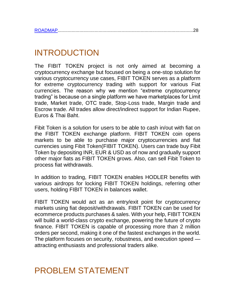|--|

# <span id="page-4-0"></span>INTRODUCTION

The FIBIT TOKEN project is not only aimed at becoming a cryptocurrency exchange but focused on being a one-stop solution for various cryptocurrency use cases, FIBIT TOKEN serves as a platform for extreme cryptocurrency trading with support for various Fiat currencies. The reason why we mention "extreme cryptocurrency trading" is because on a single platform we have marketplaces for Limit trade, Market trade, OTC trade, Stop-Loss trade, Margin trade and Escrow trade. All trades allow direct/indirect support for Indian Rupee, Euros & Thai Baht.

Fibit Token is a solution for users to be able to cash in/out with fiat on the FIBIT TOKEN exchange platform. FIBIT TOKEN coin opens markets to be able to purchase major cryptocurrencies and fiat currencies using Fibit Token(FIBIT TOKEN). Users can trade buy Fibit Token by depositing INR, EUR & USD as of now and gradually support other major fiats as FIBIT TOKEN grows. Also, can sell Fibit Token to process fiat withdrawals.

In addition to trading, FIBIT TOKEN enables HODLER benefits with various airdrops for locking FIBIT TOKEN holdings, referring other users, holding FIBIT TOKEN in balances wallet.

FIBIT TOKEN would act as an entry/exit point for cryptocurrency markets using fiat deposit/withdrawals. FIBIT TOKEN can be used for ecommerce products purchases & sales. With your help, FIBIT TOKEN will build a world-class crypto exchange, powering the future of crypto finance. FIBIT TOKEN is capable of processing more than 2 million orders per second, making it one of the fastest exchanges in the world. The platform focuses on security, robustness, and execution speed attracting enthusiasts and professional traders alike.

# <span id="page-4-1"></span>PROBLEM STATEMENT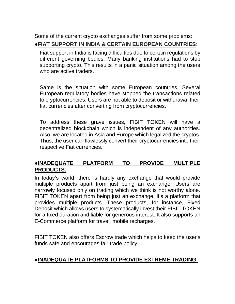Some of the current crypto exchanges suffer from some problems:

### ●**FIAT SUPPORT IN INDIA & CERTAIN EUROPEAN COUNTRIES**:

Fiat support in India is facing difficulties due to certain regulations by different governing bodies. Many banking institutions had to stop supporting crypto. This results in a panic situation among the users who are active traders.

Same is the situation with some European countries. Several European regulatory bodies have stopped the transactions related to cryptocurrencies. Users are not able to deposit or withdrawal their fiat currencies after converting from cryptocurrencies.

To address these grave issues, FIBIT TOKEN will have a decentralized blockchain which is independent of any authorities. Also, we are located in Asia and Europe which legalized the cryptos. Thus, the user can flawlessly convert their cryptocurrencies into their respective Fiat currencies.

### ●**INADEQUATE PLATFORM TO PROVIDE MULTIPLE PRODUCTS**:

In today's world, there is hardly any exchange that would provide multiple products apart from just being an exchange. Users are narrowly focused only on trading which we think is not worthy alone. FIBIT TOKEN apart from being just an exchange, it's a platform that provides multiple products. These products, for instance, Fixed Deposit which allows users to systematically invest their FIBIT TOKEN for a fixed duration and liable for generous interest. It also supports an E-Commerce platform for travel, mobile recharges.

FIBIT TOKEN also offers Escrow trade which helps to keep the user's funds safe and encourages fair trade policy.

#### ●**INADEQUATE PLATFORMS TO PROVIDE EXTREME TRADING**: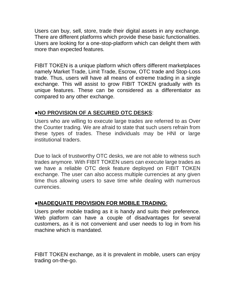Users can buy, sell, store, trade their digital assets in any exchange. There are different platforms which provide these basic functionalities. Users are looking for a one-stop-platform which can delight them with more than expected features.

FIBIT TOKEN is a unique platform which offers different marketplaces namely Market Trade, Limit Trade, Escrow, OTC trade and Stop-Loss trade. Thus, users will have all means of extreme trading in a single exchange. This will assist to grow FIBIT TOKEN gradually with its unique features. These can be considered as a differentiator as compared to any other exchange.

### ●**NO PROVISION OF A SECURED OTC DESKS**:

Users who are willing to execute large trades are referred to as Over the Counter trading. We are afraid to state that such users refrain from these types of trades. These individuals may be HNI or large institutional traders.

Due to lack of trustworthy OTC desks, we are not able to witness such trades anymore. With FIBIT TOKEN users can execute large trades as we have a reliable OTC desk feature deployed on FIBIT TOKEN exchange. The user can also access multiple currencies at any given time thus allowing users to save time while dealing with numerous currencies.

### ●**INADEQUATE PROVISION FOR MOBILE TRADING**:

Users prefer mobile trading as it is handy and suits their preference. Web platform can have a couple of disadvantages for several customers, as it is not convenient and user needs to log in from his machine which is mandated.

FIBIT TOKEN exchange, as it is prevalent in mobile, users can enjoy trading on-the-go.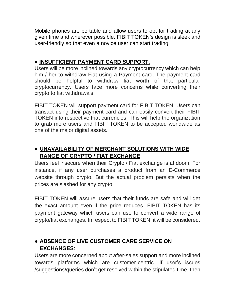Mobile phones are portable and allow users to opt for trading at any given time and wherever possible. FIBIT TOKEN's design is sleek and user-friendly so that even a novice user can start trading.

### ● **INSUFFICIENT PAYMENT CARD SUPPORT**:

Users will be more inclined towards any cryptocurrency which can help him / her to withdraw Fiat using a Payment card. The payment card should be helpful to withdraw fiat worth of that particular cryptocurrency. Users face more concerns while converting their crypto to fiat withdrawals.

FIBIT TOKEN will support payment card for FIBIT TOKEN. Users can transact using their payment card and can easily convert their FIBIT TOKEN into respective Fiat currencies. This will help the organization to grab more users and FIBIT TOKEN to be accepted worldwide as one of the major digital assets.

## ● **UNAVAILABILITY OF MERCHANT SOLUTIONS WITH WIDE RANGE OF CRYPTO / FIAT EXCHANGE**:

Users feel insecure when their Crypto / Fiat exchange is at doom. For instance, if any user purchases a product from an E-Commerce website through crypto. But the actual problem persists when the prices are slashed for any crypto.

FIBIT TOKEN will assure users that their funds are safe and will get the exact amount even if the price reduces. FIBIT TOKEN has its payment gateway which users can use to convert a wide range of crypto/fiat exchanges. In respect to FIBIT TOKEN, it will be considered.

### ● **ABSENCE OF LIVE CUSTOMER CARE SERVICE ON EXCHANGES**:

Users are more concerned about after-sales support and more inclined towards platforms which are customer-centric. If user's issues /suggestions/queries don't get resolved within the stipulated time, then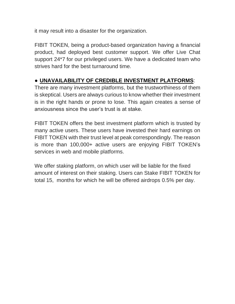it may result into a disaster for the organization.

FIBIT TOKEN, being a product-based organization having a financial product, had deployed best customer support. We offer Live Chat support 24\*7 for our privileged users. We have a dedicated team who strives hard for the best turnaround time.

## ● **UNAVAILABILITY OF CREDIBLE INVESTMENT PLATFORMS**:

There are many investment platforms, but the trustworthiness of them is skeptical. Users are always curious to know whether their investment is in the right hands or prone to lose. This again creates a sense of anxiousness since the user's trust is at stake.

FIBIT TOKEN offers the best investment platform which is trusted by many active users. These users have invested their hard earnings on FIBIT TOKEN with their trust level at peak correspondingly. The reason is more than 100,000+ active users are enjoying FIBIT TOKEN's services in web and mobile platforms.

We offer staking platform, on which user will be liable for the fixed amount of interest on their staking. Users can Stake FIBIT TOKEN for total 15, months for which he will be offered airdrops 0.5% per day.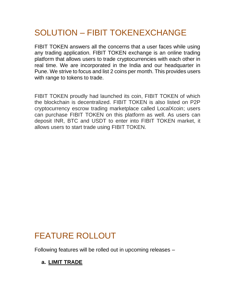# <span id="page-9-0"></span>SOLUTION – FIBIT TOKENEXCHANGE

FIBIT TOKEN answers all the concerns that a user faces while using any trading application. FIBIT TOKEN exchange is an online trading platform that allows users to trade cryptocurrencies with each other in real time. We are incorporated in the India and our headquarter in Pune. We strive to focus and list 2 coins per month. This provides users with range to tokens to trade.

FIBIT TOKEN proudly had launched its coin, FIBIT TOKEN of which the blockchain is decentralized. FIBIT TOKEN is also listed on P2P cryptocurrency escrow trading marketplace called LocalXcoin; users can purchase FIBIT TOKEN on this platform as well. As users can deposit INR, BTC and USDT to enter into FIBIT TOKEN market, it allows users to start trade using FIBIT TOKEN.

# <span id="page-9-1"></span>FEATURE ROLLOUT

Following features will be rolled out in upcoming releases –

## <span id="page-9-2"></span>**a. LIMIT TRADE**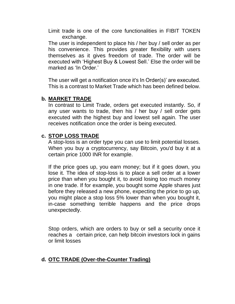Limit trade is one of the core functionalities in FIBIT TOKEN exchange.

The user is independent to place his / her buy / sell order as per his convenience. This provides greater flexibility with users themselves as it gives freedom of trade. The order will be executed with 'Highest Buy & Lowest Sell.' Else the order will be marked as 'In Order.'

The user will get a notification once it's In Order(s)' are executed. This is a contrast to Market Trade which has been defined below.

#### <span id="page-10-0"></span>**b. MARKET TRADE**

In contrast to Limit Trade, orders get executed instantly. So, if any user wants to trade, then his / her buy / sell order gets executed with the highest buy and lowest sell again. The user receives notification once the order is being executed.

#### <span id="page-10-1"></span>**c. STOP LOSS TRADE**

A stop-loss is an order type you can use to limit potential losses. When you buy a cryptocurrency, say Bitcoin, you'd buy it at a certain price 1000 INR for example.

If the price goes up, you earn money; but if it goes down, you lose it. The idea of stop-loss is to place a sell order at a lower price than when you bought it, to avoid losing too much money in one trade. If for example, you bought some Apple shares just before they released a new phone, expecting the price to go up, you might place a stop loss 5% lower than when you bought it, in-case something terrible happens and the price drops unexpectedly.

Stop orders, which are orders to buy or sell a security once it reaches a certain price, can help bitcoin investors lock in gains or limit losses

#### <span id="page-10-2"></span>**d. OTC TRADE (Over-the-Counter Trading)**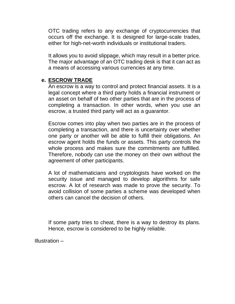OTC trading refers to any exchange of cryptocurrencies that occurs off the exchange. It is designed for large-scale trades, either for high-net-worth individuals or institutional traders.

It allows you to avoid slippage, which may result in a better price. The major advantage of an OTC trading desk is that it can act as a means of accessing various currencies at any time.

#### <span id="page-11-0"></span>**e. ESCROW TRADE**

An escrow is a way to control and protect financial assets. It is a legal concept where a third party holds a financial instrument or an asset on behalf of two other parties that are in the process of completing a transaction. In other words, when you use an escrow, a trusted third party will act as a guarantor.

Escrow comes into play when two parties are in the process of completing a transaction, and there is uncertainty over whether one party or another will be able to fulfill their obligations. An escrow agent holds the funds or assets. This party controls the whole process and makes sure the commitments are fulfilled. Therefore, nobody can use the money on their own without the agreement of other participants.

A lot of mathematicians and cryptologists have worked on the security issue and managed to develop algorithms for safe escrow. A lot of research was made to prove the security. To avoid collision of some parties a scheme was developed when others can cancel the decision of others.

If some party tries to cheat, there is a way to destroy its plans. Hence, escrow is considered to be highly reliable.

Illustration –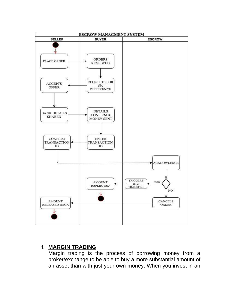

#### <span id="page-12-0"></span>**f. MARGIN TRADING**

Margin trading is the process of borrowing money from a broker/exchange to be able to buy a more substantial amount of an asset than with just your own money. When you invest in an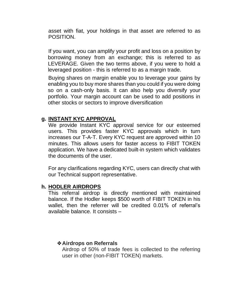asset with fiat, your holdings in that asset are referred to as POSITION.

If you want, you can amplify your profit and loss on a position by borrowing money from an exchange; this is referred to as LEVERAGE. Given the two terms above, if you were to hold a leveraged position - this is referred to as a margin trade.

Buying shares on margin enable you to leverage your gains by enabling you to buy more shares than you could if you were doing so on a cash-only basis. It can also help you diversify your portfolio. Your margin account can be used to add positions in other stocks or sectors to improve diversification

#### <span id="page-13-0"></span>**g. INSTANT KYC APPROVAL**

We provide Instant KYC approval service for our esteemed users. This provides faster KYC approvals which in turn increases our T-A-T. Every KYC request are approved within 10 minutes. This allows users for faster access to FIBIT TOKEN application. We have a dedicated built-in system which validates the documents of the user.

For any clarifications regarding KYC, users can directly chat with our Technical support representative.

#### <span id="page-13-1"></span>**h. HODLER AIRDROPS**

This referral airdrop is directly mentioned with maintained balance. If the Hodler keeps \$500 worth of FIBIT TOKEN in his wallet, then the referrer will be credited 0.01% of referral's available balance. It consists –

#### ❖**Airdrops on Referrals**

Airdrop of 50% of trade fees is collected to the referring user in other (non-FIBIT TOKEN) markets.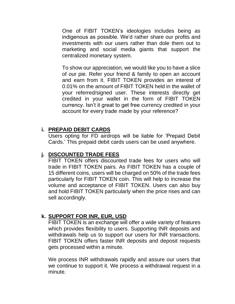One of FIBIT TOKEN's ideologies includes being as indigenous as possible. We'd rather share our profits and investments with our users rather than dole them out to marketing and social media giants that support the centralized monetary system.

To show our appreciation, we would like you to have a slice of our pie. Refer your friend & family to open an account and earn from it. FIBIT TOKEN provides an interest of 0.01% on the amount of FIBIT TOKEN held in the wallet of your referred/signed user. These interests directly get credited in your wallet in the form of FIBIT TOKEN currency. Isn't it great to get free currency credited in your account for every trade made by your reference?

#### <span id="page-14-0"></span>**i. PREPAID DEBIT CARDS**

Users opting for FD airdrops will be liable for 'Prepaid Debit Cards.' This prepaid debit cards users can be used anywhere.

#### <span id="page-14-1"></span>**j. DISCOUNTED TRADE FEES**

FIBIT TOKEN offers discounted trade fees for users who will trade in FIBIT TOKEN pairs. As FIBIT TOKEN has a couple of 15 different coins, users will be charged on 50% of the trade fees particularly for FIBIT TOKEN coin. This will help to increase the volume and acceptance of FIBIT TOKEN. Users can also buy and hold FIBIT TOKEN particularly when the price rises and can sell accordingly.

### <span id="page-14-2"></span>**k. SUPPORT FOR INR, EUR, USD**

FIBIT TOKEN is an exchange will offer a wide variety of features which provides flexibility to users. Supporting INR deposits and withdrawals help us to support our users for INR transactions. FIBIT TOKEN offers faster INR deposits and deposit requests gets processed within a minute.

We process INR withdrawals rapidly and assure our users that we continue to support it. We process a withdrawal request in a minute.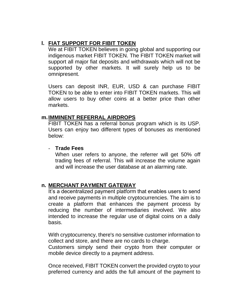### <span id="page-15-0"></span>**l. FIAT SUPPORT FOR FIBIT TOKEN**

We at FIBIT TOKEN believes in going global and supporting our indigenous market FIBIT TOKEN. The FIBIT TOKEN market will support all major fiat deposits and withdrawals which will not be supported by other markets. It will surely help us to be omnipresent.

Users can deposit INR, EUR, USD & can purchase FIBIT TOKEN to be able to enter into FIBIT TOKEN markets. This will allow users to buy other coins at a better price than other markets.

#### <span id="page-15-1"></span>**m.IMMINENT REFERRAL AIRDROPS**

FIBIT TOKEN has a referral bonus program which is its USP. Users can enjoy two different types of bonuses as mentioned below:

#### - **Trade Fees**

When user refers to anyone, the referrer will get 50% off trading fees of referral. This will increase the volume again and will increase the user database at an alarming rate.

#### <span id="page-15-2"></span>**n. MERCHANT PAYMENT GATEWAY**

It's a decentralized payment platform that enables users to send and receive payments in multiple cryptocurrencies. The aim is to create a platform that enhances the payment process by reducing the number of intermediaries involved. We also intended to increase the regular use of digital coins on a daily basis.

With cryptocurrency, there's no sensitive customer information to collect and store, and there are no cards to charge.

Customers simply send their crypto from their computer or mobile device directly to a payment address.

Once received, FIBIT TOKEN convert the provided crypto to your preferred currency and adds the full amount of the payment to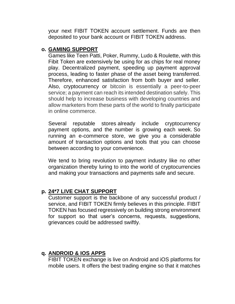your next FIBIT TOKEN account settlement. Funds are then deposited to your bank account or FIBIT TOKEN address.

#### <span id="page-16-0"></span>**o. GAMING SUPPORT**

Games like Teen Patti, Poker, Rummy, Ludo & Roulette, with this Fibit Token are extensively be using for as chips for real money play. Decentralized payment, speeding up payment approval process, leading to faster phase of the asset being transferred. Therefore, enhanced satisfaction from both buyer and seller. Also, cryptocurrency or bitcoin is essentially a peer-to-peer service; a payment can reach its intended destination safely. This should help to increase business with developing countries and allow marketers from these parts of the world to finally participate in online commerce.

Several reputable stores already include cryptocurrency payment options, and the number is growing each week. So running an e-commerce store, we give you a considerable amount of transaction options and tools that you can choose between according to your convenience.

We tend to bring revolution to payment industry like no other organization thereby luring to into the world of cryptocurrencies and making your transactions and payments safe and secure.

#### <span id="page-16-1"></span>**p. 24\*7 LIVE CHAT SUPPORT**

Customer support is the backbone of any successful product / service, and FIBIT TOKEN firmly believes in this principle. FIBIT TOKEN has focused regressively on building strong environment for support so that user's concerns, requests, suggestions, grievances could be addressed swiftly.

#### <span id="page-16-2"></span>**q. ANDROID & IOS APPS**

FIBIT TOKEN exchange is live on Android and iOS platforms for mobile users. It offers the best trading engine so that it matches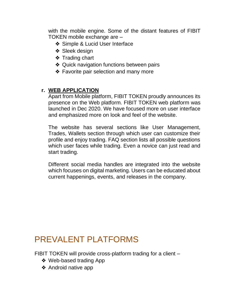with the mobile engine. Some of the distant features of FIBIT TOKEN mobile exchange are –

- ❖ Simple & Lucid User Interface
- ❖ Sleek design
- ❖ Trading chart
- ❖ Quick navigation functions between pairs
- ❖ Favorite pair selection and many more

### <span id="page-17-0"></span>**r. WEB APPLICATION**

Apart from Mobile platform, FIBIT TOKEN proudly announces its presence on the Web platform. FIBIT TOKEN web platform was launched in Dec 2020. We have focused more on user interface and emphasized more on look and feel of the website.

The website has several sections like User Management, Trades, Wallets section through which user can customize their profile and enjoy trading. FAQ section lists all possible questions which user faces while trading. Even a novice can just read and start trading.

Different social media handles are integrated into the website which focuses on digital marketing. Users can be educated about current happenings, events, and releases in the company.

# <span id="page-17-1"></span>PREVALENT PLATFORMS

FIBIT TOKEN will provide cross-platform trading for a client –

- ❖ Web-based trading App
- ❖ Android native app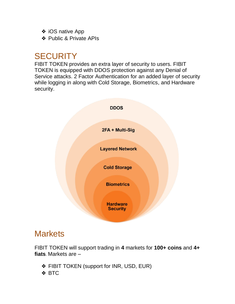- ❖ iOS native App
- ❖ Public & Private APIs

# <span id="page-18-0"></span>**SECURITY**

FIBIT TOKEN provides an extra layer of security to users. FIBIT TOKEN is equipped with DDOS protection against any Denial of Service attacks. 2 Factor Authentication for an added layer of security while logging in along with Cold Storage, Biometrics, and Hardware security.



# <span id="page-18-1"></span>**Markets**

FIBIT TOKEN will support trading in **4** markets for **100+ coins** and **4+ fiats**. Markets are –

- ❖ FIBIT TOKEN (support for INR, USD, EUR)
- ❖ BTC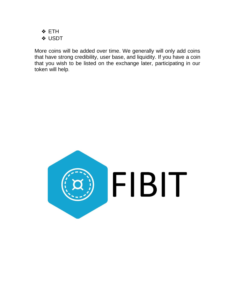❖ ETH ❖ USDT

More coins will be added over time. We generally will only add coins that have strong credibility, user base, and liquidity. If you have a coin that you wish to be listed on the exchange later, participating in our token will help.

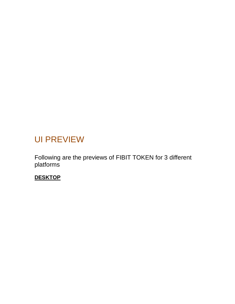# <span id="page-20-0"></span>UI PREVIEW

Following are the previews of FIBIT TOKEN for 3 different platforms

**DESKTOP**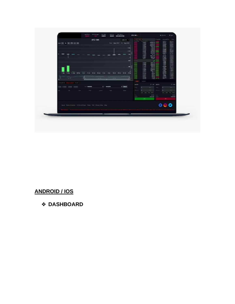

## **ANDROID / IOS**

## ❖ DASHBOARD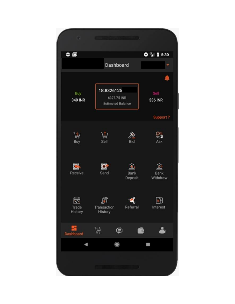| ٦                                                    |                                                                                                                      | <u> Hills (Herman Hills) – Hills (Herman Hills)</u> |                          |
|------------------------------------------------------|----------------------------------------------------------------------------------------------------------------------|-----------------------------------------------------|--------------------------|
| $\bullet \blacksquare$                               |                                                                                                                      |                                                     | $Q''_4$ 0 5:30           |
|                                                      | Dashboard                                                                                                            |                                                     |                          |
|                                                      |                                                                                                                      |                                                     |                          |
| Buy<br><b>349 INR</b>                                | 18.8326125<br>6327.75 INR<br><b>Estimated Balance</b>                                                                |                                                     | 336 INR                  |
|                                                      |                                                                                                                      |                                                     | Support?                 |
| Buy                                                  | Sell                                                                                                                 | Bid                                                 | Ask                      |
| Receive                                              | $\mathbf{C}_i$<br>Send                                                                                               | و ک<br><b>Bank</b><br>Deposit                       | <b>Bank</b><br>Withdraw  |
| $\overline{\mathbf{r}^{\prime}}$<br>Trade<br>History | J<br>Transaction<br>History                                                                                          | Q<br>Referral                                       | $\mathbb{Z}$<br>Interest |
| ₩<br>Dashboard                                       | W<br>$\bullet$                                                                                                       |                                                     |                          |
|                                                      | $\bullet$                                                                                                            |                                                     |                          |
|                                                      | <u> ALIINII AITTII JA KUULUUTTA JA KUULUUTA JA KUULUUTA JA KUULUUTA JA KUULUUTA KUULUUTA KUULUUTA KUULUUTA KUULU</u> |                                                     |                          |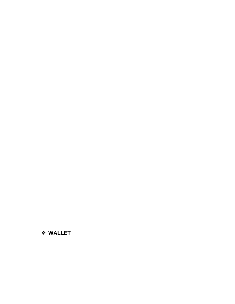#### ❖ WALLET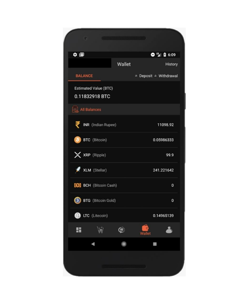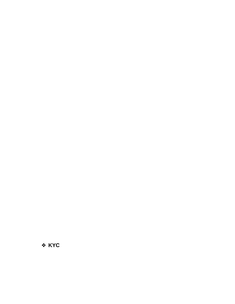❖ KYC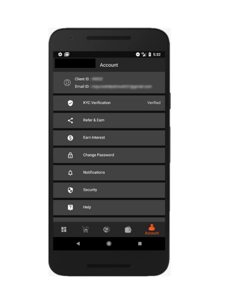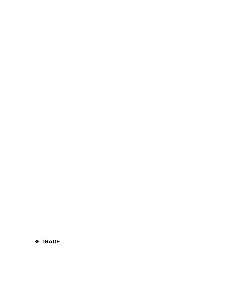❖ TRADE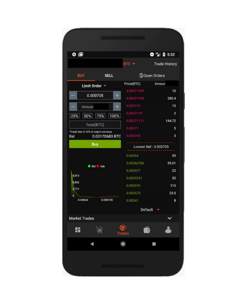| BTC -<br>Price(BTC)<br>0.00071399<br>$\ddot{}$<br>0.00071299<br>0.000712<br>$\pm$<br>0.0007119 | <b>Trade History</b><br>Open Orders<br>Amoun<br>10<br>280.4                |
|------------------------------------------------------------------------------------------------|----------------------------------------------------------------------------|
|                                                                                                |                                                                            |
|                                                                                                |                                                                            |
|                                                                                                |                                                                            |
|                                                                                                |                                                                            |
|                                                                                                |                                                                            |
|                                                                                                | 15                                                                         |
| 25% 50% 75% 100%                                                                               | $\overline{2}$                                                             |
| 0.00071111                                                                                     | 144.72                                                                     |
| 0.00071                                                                                        | 5                                                                          |
| 0.000705                                                                                       | 3                                                                          |
|                                                                                                |                                                                            |
| 0.00064                                                                                        | 55                                                                         |
| 0.00063786                                                                                     | 59.01                                                                      |
| 0.000577                                                                                       | 22                                                                         |
| 0.0005761                                                                                      | 50                                                                         |
| 0.000576                                                                                       | 110                                                                        |
| 0.000575                                                                                       | 23.5                                                                       |
| 0.00041                                                                                        | 8                                                                          |
|                                                                                                |                                                                            |
|                                                                                                |                                                                            |
|                                                                                                |                                                                            |
| $\bullet$                                                                                      |                                                                            |
|                                                                                                | 0.03170683 BTC<br>Lowest Sell: 0.000705<br><b>Default</b><br><b>Trades</b> |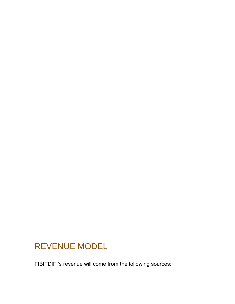# <span id="page-29-0"></span>REVENUE MODEL

FIBITDIFI's revenue will come from the following sources: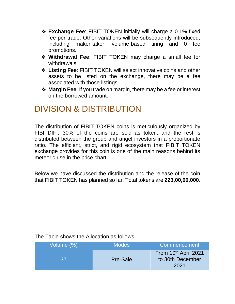- ❖ **Exchange Fee**: FIBIT TOKEN initially will charge a 0.1% fixed fee per trade. Other variations will be subsequently introduced, including maker-taker, volume-based tiring and 0 fee promotions.
- ❖ **Withdrawal Fee**: FIBIT TOKEN may charge a small fee for withdrawals.
- ❖ **Listing Fee**: FIBIT TOKEN will select innovative coins and other assets to be listed on the exchange, there may be a fee associated with those listings.
- ❖ **Margin Fee**: If you trade on margin, there may be a fee or interest on the borrowed amount.

# <span id="page-30-0"></span>DIVISION & DISTRIBUTION

The distribution of FIBIT TOKEN coins is meticulously organized by FIBITDIFI. 30% of the coins are sold as token, and the rest is distributed between the group and angel investors in a proportionate ratio. The efficient, strict, and rigid ecosystem that FIBIT TOKEN exchange provides for this coin is one of the main reasons behind its meteoric rise in the price chart.

Below we have discussed the distribution and the release of the coin that FIBIT TOKEN has planned so far. Total tokens are **223,00,00,000**.

#### The Table shows the Allocation as follows –

| Volume (%) | <b>Modes</b>    | Commencement                                     |
|------------|-----------------|--------------------------------------------------|
| 37         | <b>Pre-Sale</b> | From 10th April 2021<br>to 30th December<br>2021 |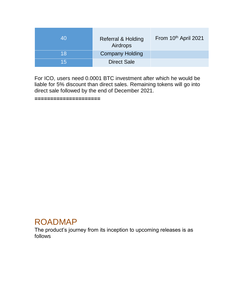| 40 | Referral & Holding<br>Airdrops | From 10th April 2021 |
|----|--------------------------------|----------------------|
| 18 | <b>Company Holding</b>         |                      |
| 15 | <b>Direct Sale</b>             |                      |

For ICO, users need 0.0001 BTC investment after which he would be liable for 5% discount than direct sales. Remaining tokens will go into direct sale followed by the end of December 2021.

**=====================**

## <span id="page-31-0"></span>ROADMAP

The product's journey from its inception to upcoming releases is as follows